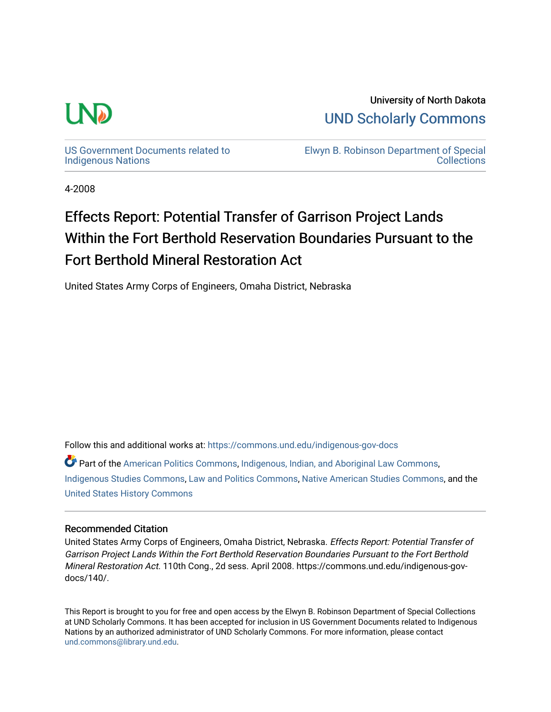

University of North Dakota [UND Scholarly Commons](https://commons.und.edu/) 

[US Government Documents related to](https://commons.und.edu/indigenous-gov-docs)  [Indigenous Nations](https://commons.und.edu/indigenous-gov-docs) 

[Elwyn B. Robinson Department of Special](https://commons.und.edu/archives)  **Collections** 

4-2008

## Effects Report: Potential Transfer of Garrison Project Lands Within the Fort Berthold Reservation Boundaries Pursuant to the Fort Berthold Mineral Restoration Act

United States Army Corps of Engineers, Omaha District, Nebraska

Follow this and additional works at: [https://commons.und.edu/indigenous-gov-docs](https://commons.und.edu/indigenous-gov-docs?utm_source=commons.und.edu%2Findigenous-gov-docs%2F140&utm_medium=PDF&utm_campaign=PDFCoverPages) 

Part of the [American Politics Commons,](https://network.bepress.com/hgg/discipline/387?utm_source=commons.und.edu%2Findigenous-gov-docs%2F140&utm_medium=PDF&utm_campaign=PDFCoverPages) [Indigenous, Indian, and Aboriginal Law Commons](https://network.bepress.com/hgg/discipline/894?utm_source=commons.und.edu%2Findigenous-gov-docs%2F140&utm_medium=PDF&utm_campaign=PDFCoverPages), [Indigenous Studies Commons](https://network.bepress.com/hgg/discipline/571?utm_source=commons.und.edu%2Findigenous-gov-docs%2F140&utm_medium=PDF&utm_campaign=PDFCoverPages), [Law and Politics Commons](https://network.bepress.com/hgg/discipline/867?utm_source=commons.und.edu%2Findigenous-gov-docs%2F140&utm_medium=PDF&utm_campaign=PDFCoverPages), [Native American Studies Commons](https://network.bepress.com/hgg/discipline/1434?utm_source=commons.und.edu%2Findigenous-gov-docs%2F140&utm_medium=PDF&utm_campaign=PDFCoverPages), and the [United States History Commons](https://network.bepress.com/hgg/discipline/495?utm_source=commons.und.edu%2Findigenous-gov-docs%2F140&utm_medium=PDF&utm_campaign=PDFCoverPages)

#### Recommended Citation

United States Army Corps of Engineers, Omaha District, Nebraska. Effects Report: Potential Transfer of Garrison Project Lands Within the Fort Berthold Reservation Boundaries Pursuant to the Fort Berthold Mineral Restoration Act. 110th Cong., 2d sess. April 2008. https://commons.und.edu/indigenous-govdocs/140/.

This Report is brought to you for free and open access by the Elwyn B. Robinson Department of Special Collections at UND Scholarly Commons. It has been accepted for inclusion in US Government Documents related to Indigenous Nations by an authorized administrator of UND Scholarly Commons. For more information, please contact [und.commons@library.und.edu](mailto:und.commons@library.und.edu).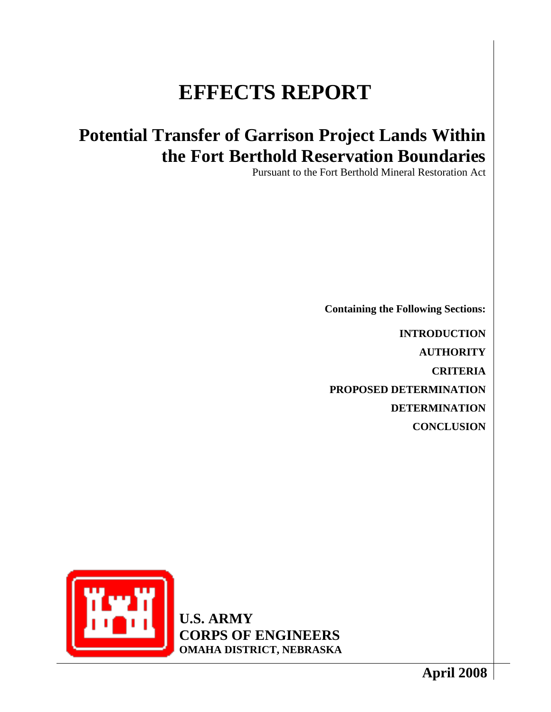# **EFFECTS REPORT**

## **Potential Transfer of Garrison Project Lands Within the Fort Berthold Reservation Boundaries**

Pursuant to the Fort Berthold Mineral Restoration Act

**Containing the Following Sections:**

**INTRODUCTION AUTHORITY CRITERIA PROPOSED DETERMINATION DETERMINATION CONCLUSION**

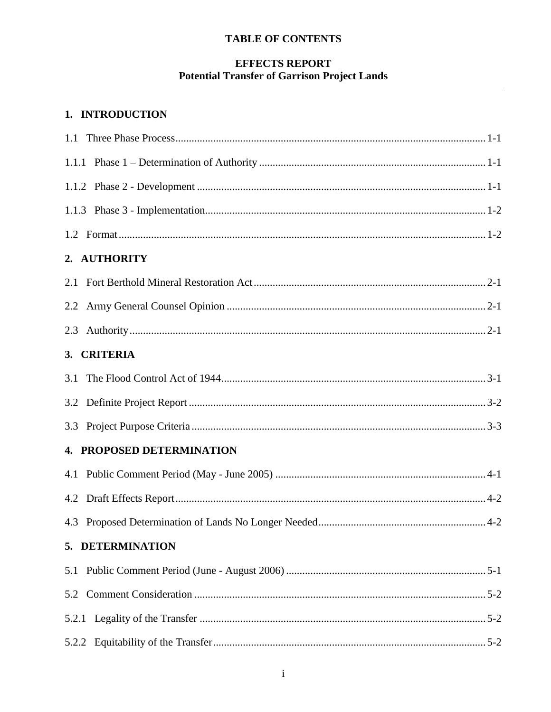## **EFFECTS REPORT Potential Transfer of Garrison Project Lands**

## 1. INTRODUCTION

| 2. AUTHORITY                     |  |
|----------------------------------|--|
|                                  |  |
|                                  |  |
|                                  |  |
| 3. CRITERIA                      |  |
|                                  |  |
|                                  |  |
|                                  |  |
| <b>4. PROPOSED DETERMINATION</b> |  |
|                                  |  |
|                                  |  |
|                                  |  |
| 5. DETERMINATION                 |  |
| 5.1                              |  |
| 5.2                              |  |
|                                  |  |
|                                  |  |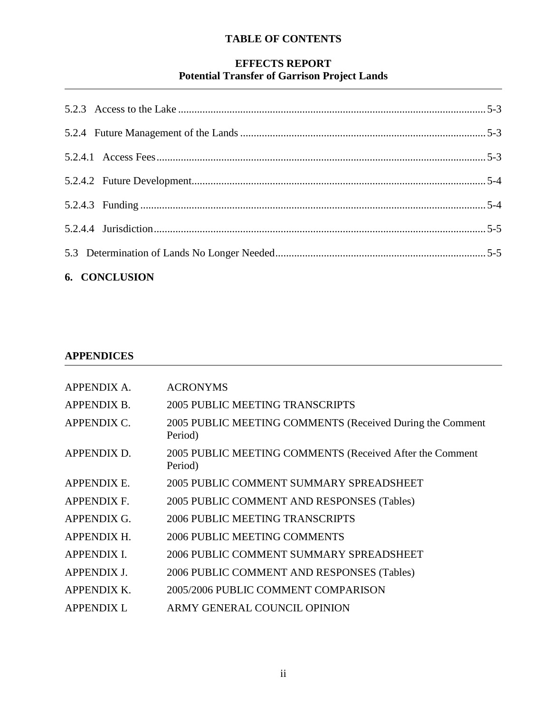## **EFFECTS REPORT Potential Transfer of Garrison Project Lands**

| 6. CONCLUSION |  |
|---------------|--|
|               |  |
|               |  |
|               |  |
|               |  |
|               |  |
|               |  |
|               |  |

### **APPENDICES**

| APPENDIX A.        | <b>ACRONYMS</b>                                                      |
|--------------------|----------------------------------------------------------------------|
| <b>APPENDIX B.</b> | <b>2005 PUBLIC MEETING TRANSCRIPTS</b>                               |
| <b>APPENDIX C.</b> | 2005 PUBLIC MEETING COMMENTS (Received During the Comment<br>Period) |
| APPENDIX D.        | 2005 PUBLIC MEETING COMMENTS (Received After the Comment<br>Period)  |
| APPENDIX E.        | 2005 PUBLIC COMMENT SUMMARY SPREADSHEET                              |
| <b>APPENDIX F.</b> | 2005 PUBLIC COMMENT AND RESPONSES (Tables)                           |
| <b>APPENDIX G.</b> | 2006 PUBLIC MEETING TRANSCRIPTS                                      |
| <b>APPENDIX H.</b> | 2006 PUBLIC MEETING COMMENTS                                         |
| <b>APPENDIX I.</b> | 2006 PUBLIC COMMENT SUMMARY SPREADSHEET                              |
| <b>APPENDIX J.</b> | 2006 PUBLIC COMMENT AND RESPONSES (Tables)                           |
| <b>APPENDIX K.</b> | 2005/2006 PUBLIC COMMENT COMPARISON                                  |
| <b>APPENDIX L</b>  | ARMY GENERAL COUNCIL OPINION                                         |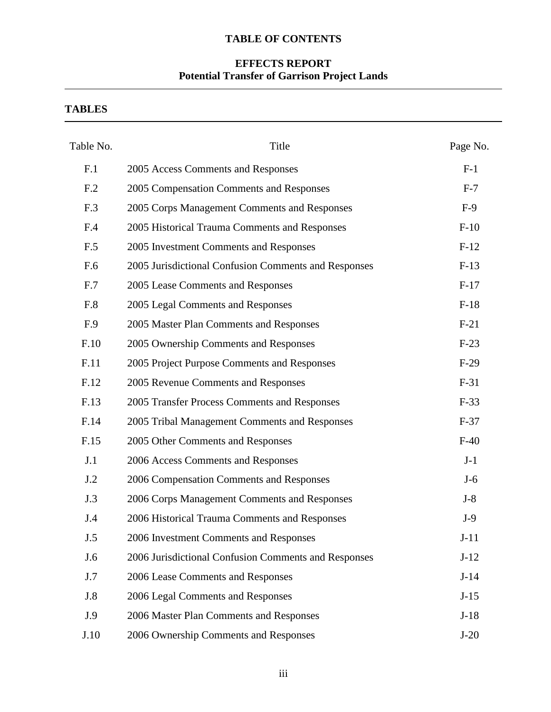## **EFFECTS REPORT Potential Transfer of Garrison Project Lands**

**TABLES**

| Table No.  | Title                                                | Page No. |
|------------|------------------------------------------------------|----------|
| F.1        | 2005 Access Comments and Responses                   | $F-1$    |
| F.2        | 2005 Compensation Comments and Responses             | $F-7$    |
| F.3        | 2005 Corps Management Comments and Responses         | $F-9$    |
| F.4        | 2005 Historical Trauma Comments and Responses        | $F-10$   |
| F.5        | 2005 Investment Comments and Responses               | $F-12$   |
| F.6        | 2005 Jurisdictional Confusion Comments and Responses | $F-13$   |
| F.7        | 2005 Lease Comments and Responses                    | $F-17$   |
| F.8        | 2005 Legal Comments and Responses                    | $F-18$   |
| F.9        | 2005 Master Plan Comments and Responses              | $F-21$   |
| F.10       | 2005 Ownership Comments and Responses                | $F-23$   |
| F.11       | 2005 Project Purpose Comments and Responses          | $F-29$   |
| F.12       | 2005 Revenue Comments and Responses                  | $F-31$   |
| F.13       | 2005 Transfer Process Comments and Responses         | $F-33$   |
| F.14       | 2005 Tribal Management Comments and Responses        | $F-37$   |
| F.15       | 2005 Other Comments and Responses                    | $F-40$   |
| J.1        | 2006 Access Comments and Responses                   | $J-1$    |
| J.2        | 2006 Compensation Comments and Responses             | $J-6$    |
| J.3        | 2006 Corps Management Comments and Responses         | $J-8$    |
| J.4        | 2006 Historical Trauma Comments and Responses        | $J-9$    |
| J.5        | 2006 Investment Comments and Responses               | $J-11$   |
| J.6        | 2006 Jurisdictional Confusion Comments and Responses | $J-12$   |
| J.7        | 2006 Lease Comments and Responses                    | $J-14$   |
| <b>J.8</b> | 2006 Legal Comments and Responses                    | $J-15$   |
| J.9        | 2006 Master Plan Comments and Responses              | $J-18$   |
| J.10       | 2006 Ownership Comments and Responses                | $J-20$   |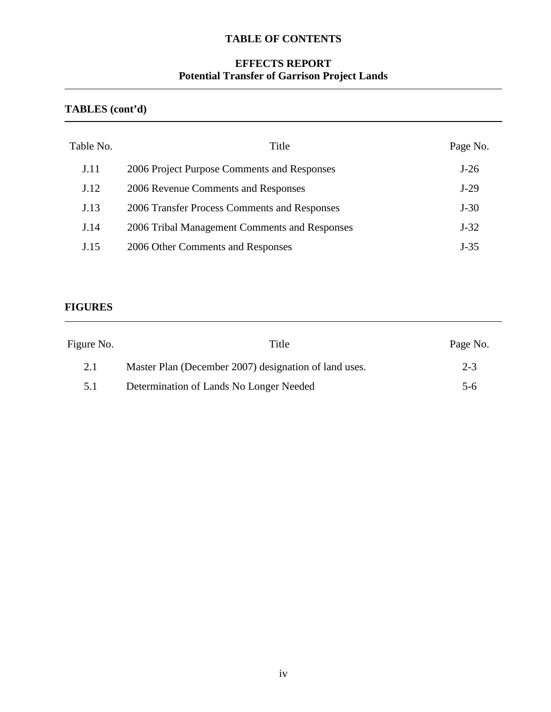## **EFFECTS REPORT Potential Transfer of Garrison Project Lands**

### **TABLES (cont'd)**

| Table No.   | Title                                         | Page No. |
|-------------|-----------------------------------------------|----------|
| <b>J.11</b> | 2006 Project Purpose Comments and Responses   | $J-26$   |
| J.12        | 2006 Revenue Comments and Responses           | $J-29$   |
| J.13        | 2006 Transfer Process Comments and Responses  | $J-30$   |
| J.14        | 2006 Tribal Management Comments and Responses | $J-32$   |
| J.15        | 2006 Other Comments and Responses             | $J-35$   |

#### **FIGURES**

| Figure No. | Title                                                 | Page No. |
|------------|-------------------------------------------------------|----------|
| 2.1        | Master Plan (December 2007) designation of land uses. | $2 - 3$  |
| 5.1        | Determination of Lands No Longer Needed               | $5-6$    |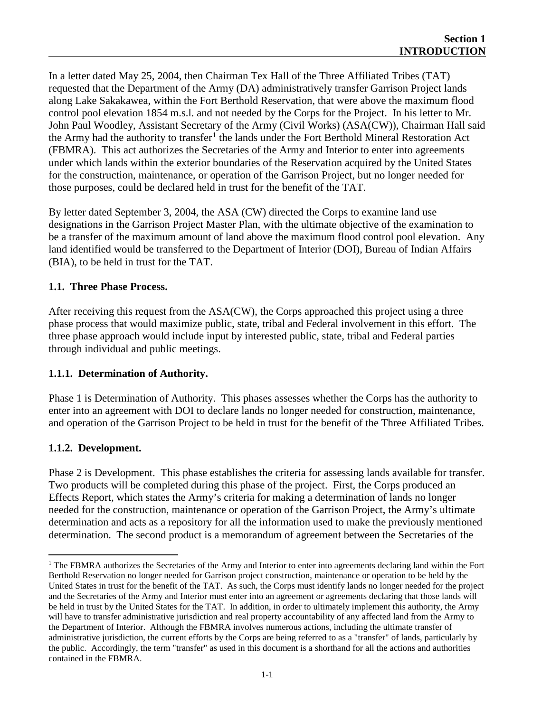In a letter dated May 25, 2004, then Chairman Tex Hall of the Three Affiliated Tribes (TAT) requested that the Department of the Army (DA) administratively transfer Garrison Project lands along Lake Sakakawea, within the Fort Berthold Reservation, that were above the maximum flood control pool elevation 1854 m.s.l. and not needed by the Corps for the Project. In his letter to Mr. John Paul Woodley, Assistant Secretary of the Army (Civil Works) (ASA(CW)), Chairman Hall said the Army had the authority to transfer<sup>[1](#page-6-0)</sup> the lands under the Fort Berthold Mineral Restoration Act (FBMRA). This act authorizes the Secretaries of the Army and Interior to enter into agreements under which lands within the exterior boundaries of the Reservation acquired by the United States for the construction, maintenance, or operation of the Garrison Project, but no longer needed for those purposes, could be declared held in trust for the benefit of the TAT.

By letter dated September 3, 2004, the ASA (CW) directed the Corps to examine land use designations in the Garrison Project Master Plan, with the ultimate objective of the examination to be a transfer of the maximum amount of land above the maximum flood control pool elevation. Any land identified would be transferred to the Department of Interior (DOI), Bureau of Indian Affairs (BIA), to be held in trust for the TAT.

#### **1.1. Three Phase Process.**

After receiving this request from the ASA(CW), the Corps approached this project using a three phase process that would maximize public, state, tribal and Federal involvement in this effort. The three phase approach would include input by interested public, state, tribal and Federal parties through individual and public meetings.

#### **1.1.1. Determination of Authority.**

Phase 1 is Determination of Authority. This phases assesses whether the Corps has the authority to enter into an agreement with DOI to declare lands no longer needed for construction, maintenance, and operation of the Garrison Project to be held in trust for the benefit of the Three Affiliated Tribes.

#### **1.1.2. Development.**

Phase 2 is Development. This phase establishes the criteria for assessing lands available for transfer. Two products will be completed during this phase of the project. First, the Corps produced an Effects Report, which states the Army's criteria for making a determination of lands no longer needed for the construction, maintenance or operation of the Garrison Project, the Army's ultimate determination and acts as a repository for all the information used to make the previously mentioned determination. The second product is a memorandum of agreement between the Secretaries of the

<span id="page-6-0"></span><sup>&</sup>lt;sup>1</sup> The FBMRA authorizes the Secretaries of the Army and Interior to enter into agreements declaring land within the Fort Berthold Reservation no longer needed for Garrison project construction, maintenance or operation to be held by the United States in trust for the benefit of the TAT. As such, the Corps must identify lands no longer needed for the project and the Secretaries of the Army and Interior must enter into an agreement or agreements declaring that those lands will be held in trust by the United States for the TAT. In addition, in order to ultimately implement this authority, the Army will have to transfer administrative jurisdiction and real property accountability of any affected land from the Army to the Department of Interior. Although the FBMRA involves numerous actions, including the ultimate transfer of administrative jurisdiction, the current efforts by the Corps are being referred to as a "transfer" of lands, particularly by the public. Accordingly, the term "transfer" as used in this document is a shorthand for all the actions and authorities contained in the FBMRA.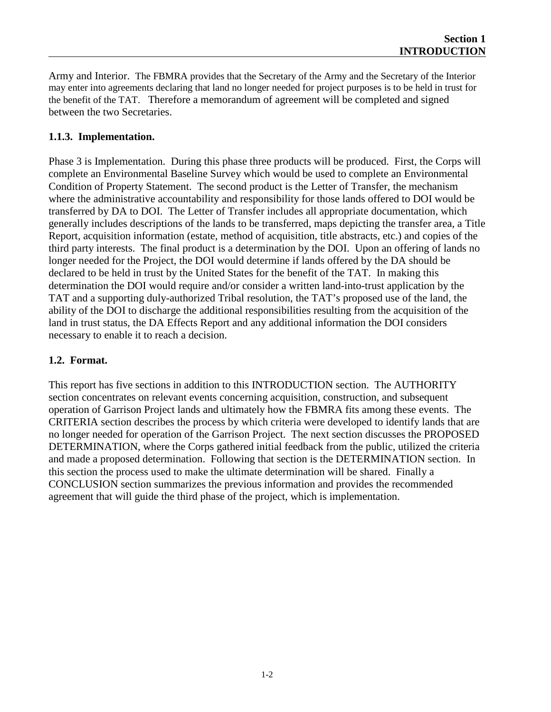Army and Interior. The FBMRA provides that the Secretary of the Army and the Secretary of the Interior may enter into agreements declaring that land no longer needed for project purposes is to be held in trust for the benefit of the TAT. Therefore a memorandum of agreement will be completed and signed between the two Secretaries.

#### **1.1.3. Implementation.**

Phase 3 is Implementation. During this phase three products will be produced. First, the Corps will complete an Environmental Baseline Survey which would be used to complete an Environmental Condition of Property Statement. The second product is the Letter of Transfer, the mechanism where the administrative accountability and responsibility for those lands offered to DOI would be transferred by DA to DOI. The Letter of Transfer includes all appropriate documentation, which generally includes descriptions of the lands to be transferred, maps depicting the transfer area, a Title Report, acquisition information (estate, method of acquisition, title abstracts, etc.) and copies of the third party interests. The final product is a determination by the DOI. Upon an offering of lands no longer needed for the Project, the DOI would determine if lands offered by the DA should be declared to be held in trust by the United States for the benefit of the TAT. In making this determination the DOI would require and/or consider a written land-into-trust application by the TAT and a supporting duly-authorized Tribal resolution, the TAT's proposed use of the land, the ability of the DOI to discharge the additional responsibilities resulting from the acquisition of the land in trust status, the DA Effects Report and any additional information the DOI considers necessary to enable it to reach a decision.

#### **1.2. Format.**

This report has five sections in addition to this INTRODUCTION section. The AUTHORITY section concentrates on relevant events concerning acquisition, construction, and subsequent operation of Garrison Project lands and ultimately how the FBMRA fits among these events. The CRITERIA section describes the process by which criteria were developed to identify lands that are no longer needed for operation of the Garrison Project. The next section discusses the PROPOSED DETERMINATION, where the Corps gathered initial feedback from the public, utilized the criteria and made a proposed determination. Following that section is the DETERMINATION section. In this section the process used to make the ultimate determination will be shared. Finally a CONCLUSION section summarizes the previous information and provides the recommended agreement that will guide the third phase of the project, which is implementation.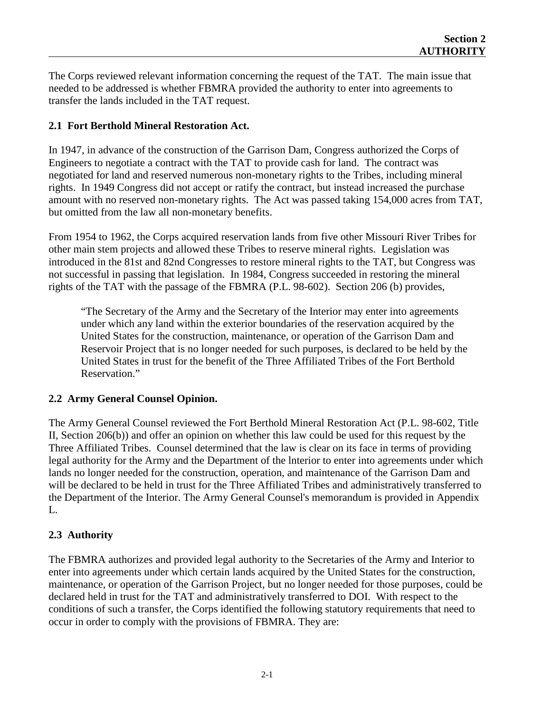The Corps reviewed relevant information concerning the request of the TAT. The main issue that needed to be addressed is whether FBMRA provided the authority to enter into agreements to transfer the lands included in the TAT request.

#### **2.1 Fort Berthold Mineral Restoration Act.**

In 1947, in advance of the construction of the Garrison Dam, Congress authorized the Corps of Engineers to negotiate a contract with the TAT to provide cash for land. The contract was negotiated for land and reserved numerous non-monetary rights to the Tribes, including mineral rights. In 1949 Congress did not accept or ratify the contract, but instead increased the purchase amount with no reserved non-monetary rights. The Act was passed taking 154,000 acres from TAT, but omitted from the law all non-monetary benefits.

From 1954 to 1962, the Corps acquired reservation lands from five other Missouri River Tribes for other main stem projects and allowed these Tribes to reserve mineral rights. Legislation was introduced in the 81st and 82nd Congresses to restore mineral rights to the TAT, but Congress was not successful in passing that legislation. In 1984, Congress succeeded in restoring the mineral rights of the TAT with the passage of the FBMRA (P.L. 98-602). Section 206 (b) provides,

"The Secretary of the Army and the Secretary of the Interior may enter into agreements under which any land within the exterior boundaries of the reservation acquired by the United States for the construction, maintenance, or operation of the Garrison Dam and Reservoir Project that is no longer needed for such purposes, is declared to be held by the United States in trust for the benefit of the Three Affiliated Tribes of the Fort Berthold Reservation."

#### **2.2 Army General Counsel Opinion.**

The Army General Counsel reviewed the Fort Berthold Mineral Restoration Act (P.L. 98-602, Title II, Section 206(b)) and offer an opinion on whether this law could be used for this request by the Three Affiliated Tribes. Counsel determined that the law is clear on its face in terms of providing legal authority for the Army and the Department of the lnterior to enter into agreements under which lands no longer needed for the construction, operation, and maintenance of the Garrison Dam and will be declared to be held in trust for the Three Affiliated Tribes and administratively transferred to the Department of the Interior. The Army General Counsel's memorandum is provided in Appendix L.

### **2.3 Authority**

The FBMRA authorizes and provided legal authority to the Secretaries of the Army and Interior to enter into agreements under which certain lands acquired by the United States for the construction, maintenance, or operation of the Garrison Project, but no longer needed for those purposes, could be declared held in trust for the TAT and administratively transferred to DOI. With respect to the conditions of such a transfer, the Corps identified the following statutory requirements that need to occur in order to comply with the provisions of FBMRA. They are: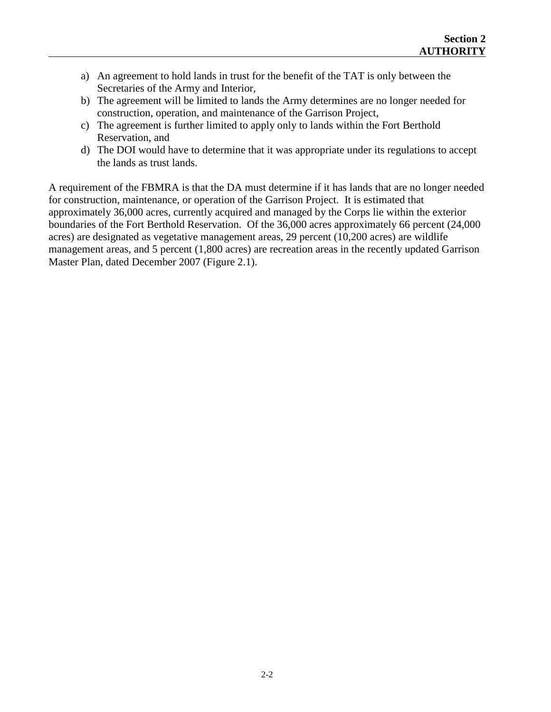- a) An agreement to hold lands in trust for the benefit of the TAT is only between the Secretaries of the Army and Interior,
- b) The agreement will be limited to lands the Army determines are no longer needed for construction, operation, and maintenance of the Garrison Project,
- c) The agreement is further limited to apply only to lands within the Fort Berthold Reservation, and
- d) The DOI would have to determine that it was appropriate under its regulations to accept the lands as trust lands.

A requirement of the FBMRA is that the DA must determine if it has lands that are no longer needed for construction, maintenance, or operation of the Garrison Project. It is estimated that approximately 36,000 acres, currently acquired and managed by the Corps lie within the exterior boundaries of the Fort Berthold Reservation. Of the 36,000 acres approximately 66 percent (24,000 acres) are designated as vegetative management areas, 29 percent (10,200 acres) are wildlife management areas, and 5 percent (1,800 acres) are recreation areas in the recently updated Garrison Master Plan, dated December 2007 (Figure 2.1).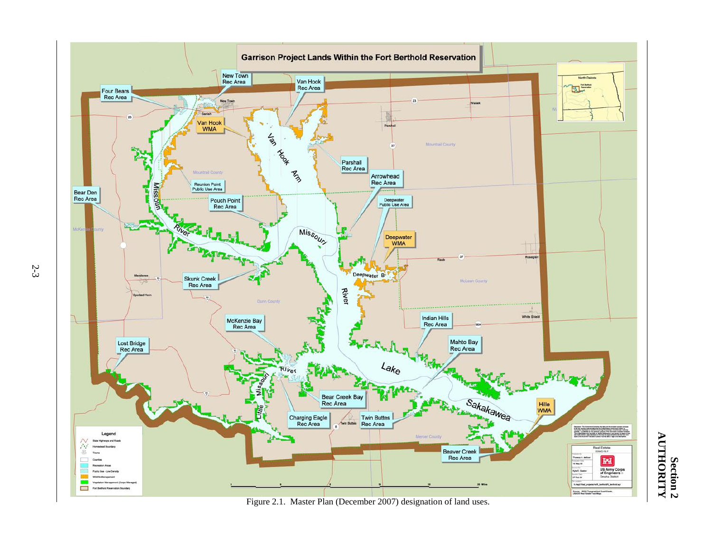

Figure 2.1. Master Plan (December 2007) designation of land uses.

Section 2<br>AUTHORITY **AUTHORITY Section 2**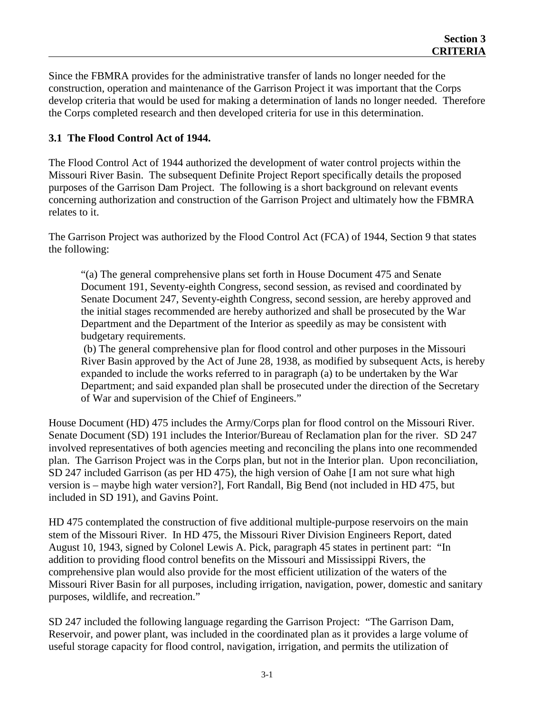Since the FBMRA provides for the administrative transfer of lands no longer needed for the construction, operation and maintenance of the Garrison Project it was important that the Corps develop criteria that would be used for making a determination of lands no longer needed. Therefore the Corps completed research and then developed criteria for use in this determination.

#### **3.1 The Flood Control Act of 1944.**

The Flood Control Act of 1944 authorized the development of water control projects within the Missouri River Basin. The subsequent Definite Project Report specifically details the proposed purposes of the Garrison Dam Project. The following is a short background on relevant events concerning authorization and construction of the Garrison Project and ultimately how the FBMRA relates to it.

The Garrison Project was authorized by the Flood Control Act (FCA) of 1944, Section 9 that states the following:

"(a) The general comprehensive plans set forth in House Document 475 and Senate Document 191, Seventy-eighth Congress, second session, as revised and coordinated by Senate Document 247, Seventy-eighth Congress, second session, are hereby approved and the initial stages recommended are hereby authorized and shall be prosecuted by the War Department and the Department of the Interior as speedily as may be consistent with budgetary requirements.

(b) The general comprehensive plan for flood control and other purposes in the Missouri River Basin approved by the Act of June 28, 1938, as modified by subsequent Acts, is hereby expanded to include the works referred to in paragraph (a) to be undertaken by the War Department; and said expanded plan shall be prosecuted under the direction of the Secretary of War and supervision of the Chief of Engineers."

House Document (HD) 475 includes the Army/Corps plan for flood control on the Missouri River. Senate Document (SD) 191 includes the Interior/Bureau of Reclamation plan for the river. SD 247 involved representatives of both agencies meeting and reconciling the plans into one recommended plan. The Garrison Project was in the Corps plan, but not in the Interior plan. Upon reconciliation, SD 247 included Garrison (as per HD 475), the high version of Oahe [I am not sure what high version is – maybe high water version?], Fort Randall, Big Bend (not included in HD 475, but included in SD 191), and Gavins Point.

HD 475 contemplated the construction of five additional multiple-purpose reservoirs on the main stem of the Missouri River. In HD 475, the Missouri River Division Engineers Report, dated August 10, 1943, signed by Colonel Lewis A. Pick, paragraph 45 states in pertinent part: "In addition to providing flood control benefits on the Missouri and Mississippi Rivers, the comprehensive plan would also provide for the most efficient utilization of the waters of the Missouri River Basin for all purposes, including irrigation, navigation, power, domestic and sanitary purposes, wildlife, and recreation."

SD 247 included the following language regarding the Garrison Project: "The Garrison Dam, Reservoir, and power plant, was included in the coordinated plan as it provides a large volume of useful storage capacity for flood control, navigation, irrigation, and permits the utilization of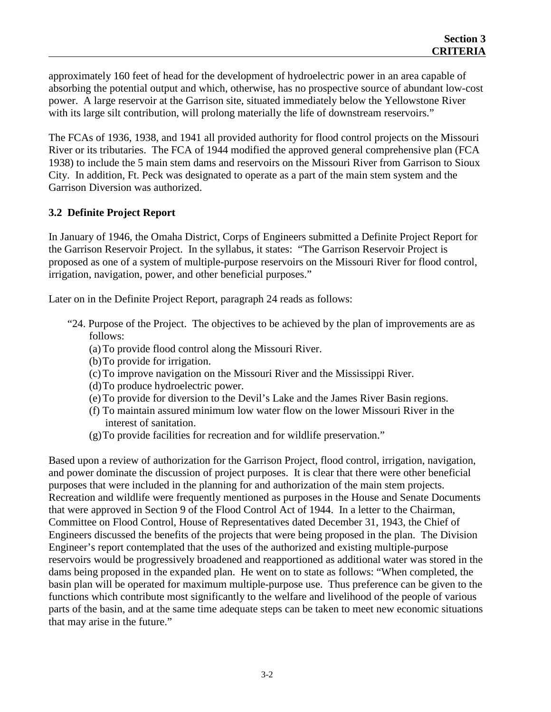approximately 160 feet of head for the development of hydroelectric power in an area capable of absorbing the potential output and which, otherwise, has no prospective source of abundant low-cost power. A large reservoir at the Garrison site, situated immediately below the Yellowstone River with its large silt contribution, will prolong materially the life of downstream reservoirs."

The FCAs of 1936, 1938, and 1941 all provided authority for flood control projects on the Missouri River or its tributaries. The FCA of 1944 modified the approved general comprehensive plan (FCA 1938) to include the 5 main stem dams and reservoirs on the Missouri River from Garrison to Sioux City. In addition, Ft. Peck was designated to operate as a part of the main stem system and the Garrison Diversion was authorized.

#### **3.2 Definite Project Report**

In January of 1946, the Omaha District, Corps of Engineers submitted a Definite Project Report for the Garrison Reservoir Project. In the syllabus, it states: "The Garrison Reservoir Project is proposed as one of a system of multiple-purpose reservoirs on the Missouri River for flood control, irrigation, navigation, power, and other beneficial purposes."

Later on in the Definite Project Report, paragraph 24 reads as follows:

- "24. Purpose of the Project. The objectives to be achieved by the plan of improvements are as follows:
	- (a)To provide flood control along the Missouri River.
	- (b)To provide for irrigation.
	- (c)To improve navigation on the Missouri River and the Mississippi River.
	- (d)To produce hydroelectric power.
	- (e)To provide for diversion to the Devil's Lake and the James River Basin regions.
	- (f) To maintain assured minimum low water flow on the lower Missouri River in the interest of sanitation.
	- (g)To provide facilities for recreation and for wildlife preservation."

Based upon a review of authorization for the Garrison Project, flood control, irrigation, navigation, and power dominate the discussion of project purposes. It is clear that there were other beneficial purposes that were included in the planning for and authorization of the main stem projects. Recreation and wildlife were frequently mentioned as purposes in the House and Senate Documents that were approved in Section 9 of the Flood Control Act of 1944. In a letter to the Chairman, Committee on Flood Control, House of Representatives dated December 31, 1943, the Chief of Engineers discussed the benefits of the projects that were being proposed in the plan. The Division Engineer's report contemplated that the uses of the authorized and existing multiple-purpose reservoirs would be progressively broadened and reapportioned as additional water was stored in the dams being proposed in the expanded plan. He went on to state as follows: "When completed, the basin plan will be operated for maximum multiple-purpose use. Thus preference can be given to the functions which contribute most significantly to the welfare and livelihood of the people of various parts of the basin, and at the same time adequate steps can be taken to meet new economic situations that may arise in the future."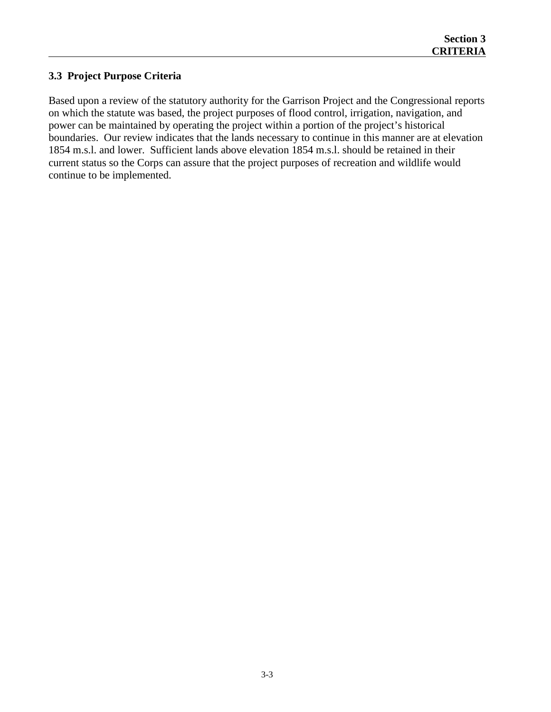#### **3.3 Project Purpose Criteria**

Based upon a review of the statutory authority for the Garrison Project and the Congressional reports on which the statute was based, the project purposes of flood control, irrigation, navigation, and power can be maintained by operating the project within a portion of the project's historical boundaries. Our review indicates that the lands necessary to continue in this manner are at elevation 1854 m.s.l. and lower. Sufficient lands above elevation 1854 m.s.l. should be retained in their current status so the Corps can assure that the project purposes of recreation and wildlife would continue to be implemented.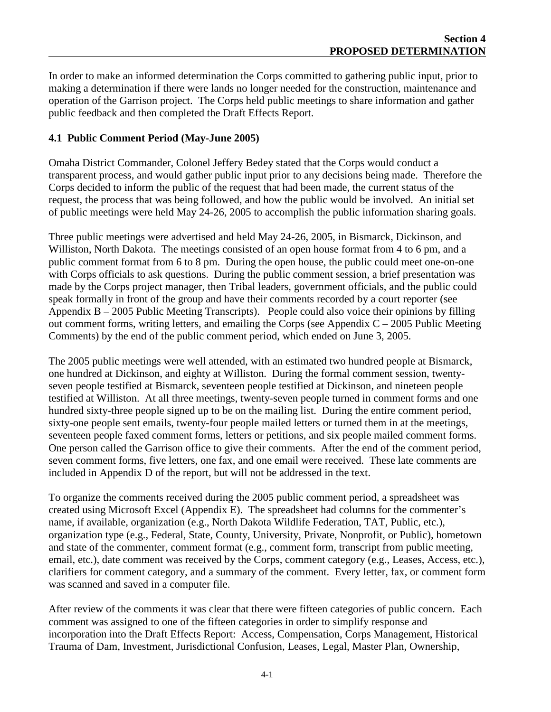In order to make an informed determination the Corps committed to gathering public input, prior to making a determination if there were lands no longer needed for the construction, maintenance and operation of the Garrison project. The Corps held public meetings to share information and gather public feedback and then completed the Draft Effects Report.

#### **4.1 Public Comment Period (May-June 2005)**

Omaha District Commander, Colonel Jeffery Bedey stated that the Corps would conduct a transparent process, and would gather public input prior to any decisions being made. Therefore the Corps decided to inform the public of the request that had been made, the current status of the request, the process that was being followed, and how the public would be involved. An initial set of public meetings were held May 24-26, 2005 to accomplish the public information sharing goals.

Three public meetings were advertised and held May 24-26, 2005, in Bismarck, Dickinson, and Williston, North Dakota. The meetings consisted of an open house format from 4 to 6 pm, and a public comment format from 6 to 8 pm. During the open house, the public could meet one-on-one with Corps officials to ask questions. During the public comment session, a brief presentation was made by the Corps project manager, then Tribal leaders, government officials, and the public could speak formally in front of the group and have their comments recorded by a court reporter (see Appendix B – 2005 Public Meeting Transcripts). People could also voice their opinions by filling out comment forms, writing letters, and emailing the Corps (see Appendix  $C - 2005$  Public Meeting Comments) by the end of the public comment period, which ended on June 3, 2005.

The 2005 public meetings were well attended, with an estimated two hundred people at Bismarck, one hundred at Dickinson, and eighty at Williston. During the formal comment session, twentyseven people testified at Bismarck, seventeen people testified at Dickinson, and nineteen people testified at Williston. At all three meetings, twenty-seven people turned in comment forms and one hundred sixty-three people signed up to be on the mailing list. During the entire comment period, sixty-one people sent emails, twenty-four people mailed letters or turned them in at the meetings, seventeen people faxed comment forms, letters or petitions, and six people mailed comment forms. One person called the Garrison office to give their comments. After the end of the comment period, seven comment forms, five letters, one fax, and one email were received. These late comments are included in Appendix D of the report, but will not be addressed in the text.

To organize the comments received during the 2005 public comment period, a spreadsheet was created using Microsoft Excel (Appendix E). The spreadsheet had columns for the commenter's name, if available, organization (e.g., North Dakota Wildlife Federation, TAT, Public, etc.), organization type (e.g., Federal, State, County, University, Private, Nonprofit, or Public), hometown and state of the commenter, comment format (e.g., comment form, transcript from public meeting, email, etc.), date comment was received by the Corps, comment category (e.g., Leases, Access, etc.), clarifiers for comment category, and a summary of the comment. Every letter, fax, or comment form was scanned and saved in a computer file.

After review of the comments it was clear that there were fifteen categories of public concern. Each comment was assigned to one of the fifteen categories in order to simplify response and incorporation into the Draft Effects Report: Access, Compensation, Corps Management, Historical Trauma of Dam, Investment, Jurisdictional Confusion, Leases, Legal, Master Plan, Ownership,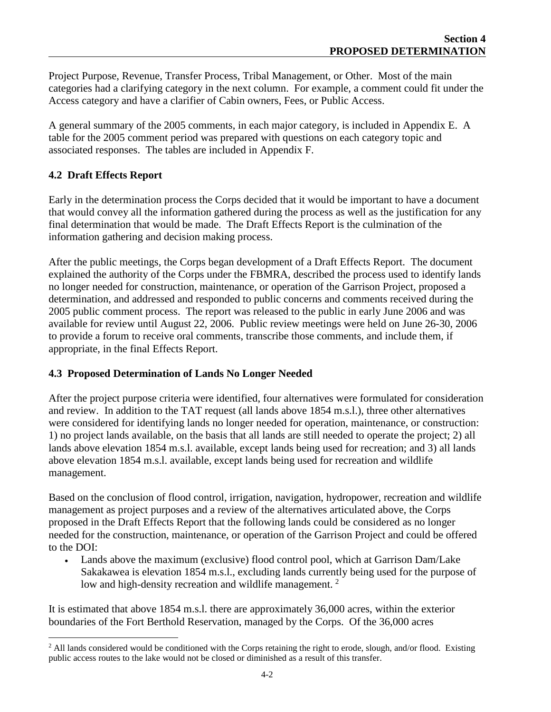Project Purpose, Revenue, Transfer Process, Tribal Management, or Other. Most of the main categories had a clarifying category in the next column. For example, a comment could fit under the Access category and have a clarifier of Cabin owners, Fees, or Public Access.

A general summary of the 2005 comments, in each major category, is included in Appendix E. A table for the 2005 comment period was prepared with questions on each category topic and associated responses. The tables are included in Appendix F.

#### **4.2 Draft Effects Report**

Early in the determination process the Corps decided that it would be important to have a document that would convey all the information gathered during the process as well as the justification for any final determination that would be made. The Draft Effects Report is the culmination of the information gathering and decision making process.

After the public meetings, the Corps began development of a Draft Effects Report. The document explained the authority of the Corps under the FBMRA, described the process used to identify lands no longer needed for construction, maintenance, or operation of the Garrison Project, proposed a determination, and addressed and responded to public concerns and comments received during the 2005 public comment process. The report was released to the public in early June 2006 and was available for review until August 22, 2006. Public review meetings were held on June 26-30, 2006 to provide a forum to receive oral comments, transcribe those comments, and include them, if appropriate, in the final Effects Report.

#### **4.3 Proposed Determination of Lands No Longer Needed**

After the project purpose criteria were identified, four alternatives were formulated for consideration and review. In addition to the TAT request (all lands above 1854 m.s.l.), three other alternatives were considered for identifying lands no longer needed for operation, maintenance, or construction: 1) no project lands available, on the basis that all lands are still needed to operate the project; 2) all lands above elevation 1854 m.s.l. available, except lands being used for recreation; and 3) all lands above elevation 1854 m.s.l. available, except lands being used for recreation and wildlife management.

Based on the conclusion of flood control, irrigation, navigation, hydropower, recreation and wildlife management as project purposes and a review of the alternatives articulated above, the Corps proposed in the Draft Effects Report that the following lands could be considered as no longer needed for the construction, maintenance, or operation of the Garrison Project and could be offered to the DOI:

• Lands above the maximum (exclusive) flood control pool, which at Garrison Dam/Lake Sakakawea is elevation 1854 m.s.l., excluding lands currently being used for the purpose of low and high-density recreation and wildlife management.<sup>[2](#page-15-0)</sup>

It is estimated that above 1854 m.s.l. there are approximately 36,000 acres, within the exterior boundaries of the Fort Berthold Reservation, managed by the Corps. Of the 36,000 acres

<span id="page-15-0"></span> $^2$  All lands considered would be conditioned with the Corps retaining the right to erode, slough, and/or flood. Existing public access routes to the lake would not be closed or diminished as a result of this transfer.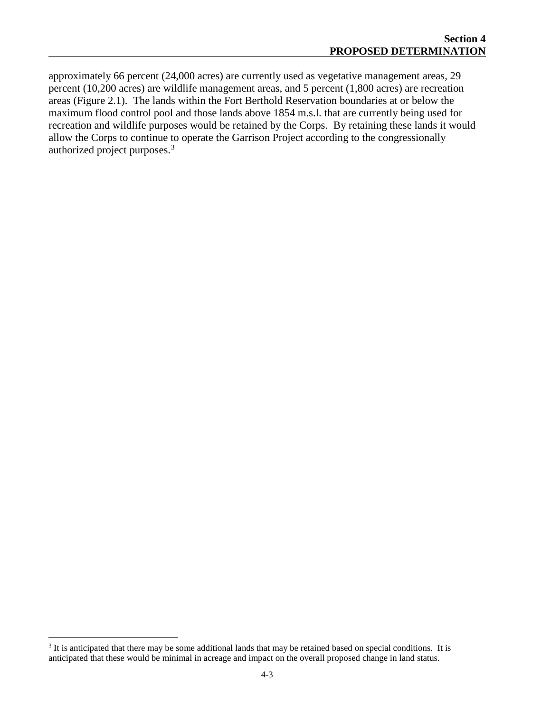approximately 66 percent (24,000 acres) are currently used as vegetative management areas, 29 percent (10,200 acres) are wildlife management areas, and 5 percent (1,800 acres) are recreation areas (Figure 2.1). The lands within the Fort Berthold Reservation boundaries at or below the maximum flood control pool and those lands above 1854 m.s.l. that are currently being used for recreation and wildlife purposes would be retained by the Corps. By retaining these lands it would allow the Corps to continue to operate the Garrison Project according to the congressionally authorized project purposes.<sup>[3](#page-16-0)</sup>

<span id="page-16-0"></span><sup>&</sup>lt;sup>3</sup> It is anticipated that there may be some additional lands that may be retained based on special conditions. It is anticipated that these would be minimal in acreage and impact on the overall proposed change in land status.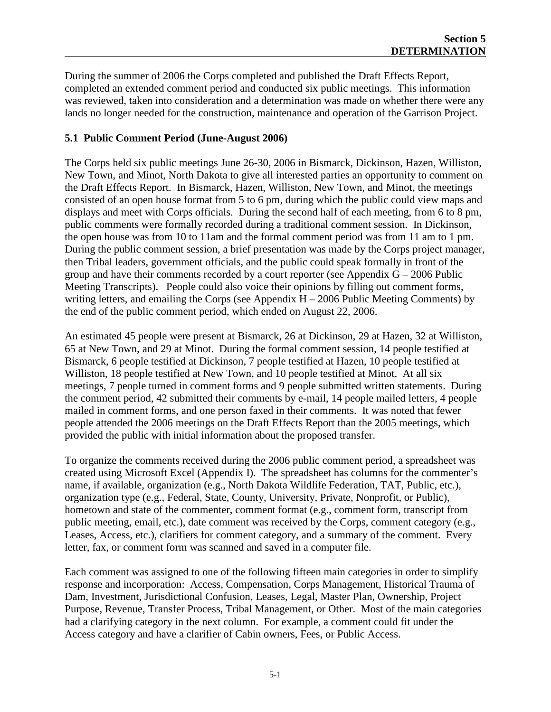During the summer of 2006 the Corps completed and published the Draft Effects Report, completed an extended comment period and conducted six public meetings. This information was reviewed, taken into consideration and a determination was made on whether there were any lands no longer needed for the construction, maintenance and operation of the Garrison Project.

#### **5.1 Public Comment Period (June-August 2006)**

The Corps held six public meetings June 26-30, 2006 in Bismarck, Dickinson, Hazen, Williston, New Town, and Minot, North Dakota to give all interested parties an opportunity to comment on the Draft Effects Report. In Bismarck, Hazen, Williston, New Town, and Minot, the meetings consisted of an open house format from 5 to 6 pm, during which the public could view maps and displays and meet with Corps officials. During the second half of each meeting, from 6 to 8 pm, public comments were formally recorded during a traditional comment session. In Dickinson, the open house was from 10 to 11am and the formal comment period was from 11 am to 1 pm. During the public comment session, a brief presentation was made by the Corps project manager, then Tribal leaders, government officials, and the public could speak formally in front of the group and have their comments recorded by a court reporter (see Appendix  $G - 2006$  Public Meeting Transcripts). People could also voice their opinions by filling out comment forms, writing letters, and emailing the Corps (see Appendix  $H - 2006$  Public Meeting Comments) by the end of the public comment period, which ended on August 22, 2006.

An estimated 45 people were present at Bismarck, 26 at Dickinson, 29 at Hazen, 32 at Williston, 65 at New Town, and 29 at Minot. During the formal comment session, 14 people testified at Bismarck, 6 people testified at Dickinson, 7 people testified at Hazen, 10 people testified at Williston, 18 people testified at New Town, and 10 people testified at Minot. At all six meetings, 7 people turned in comment forms and 9 people submitted written statements. During the comment period, 42 submitted their comments by e-mail, 14 people mailed letters, 4 people mailed in comment forms, and one person faxed in their comments. It was noted that fewer people attended the 2006 meetings on the Draft Effects Report than the 2005 meetings, which provided the public with initial information about the proposed transfer.

To organize the comments received during the 2006 public comment period, a spreadsheet was created using Microsoft Excel (Appendix I). The spreadsheet has columns for the commenter's name, if available, organization (e.g., North Dakota Wildlife Federation, TAT, Public, etc.), organization type (e.g., Federal, State, County, University, Private, Nonprofit, or Public), hometown and state of the commenter, comment format (e.g., comment form, transcript from public meeting, email, etc.), date comment was received by the Corps, comment category (e.g., Leases, Access, etc.), clarifiers for comment category, and a summary of the comment. Every letter, fax, or comment form was scanned and saved in a computer file.

Each comment was assigned to one of the following fifteen main categories in order to simplify response and incorporation: Access, Compensation, Corps Management, Historical Trauma of Dam, Investment, Jurisdictional Confusion, Leases, Legal, Master Plan, Ownership, Project Purpose, Revenue, Transfer Process, Tribal Management, or Other. Most of the main categories had a clarifying category in the next column. For example, a comment could fit under the Access category and have a clarifier of Cabin owners, Fees, or Public Access.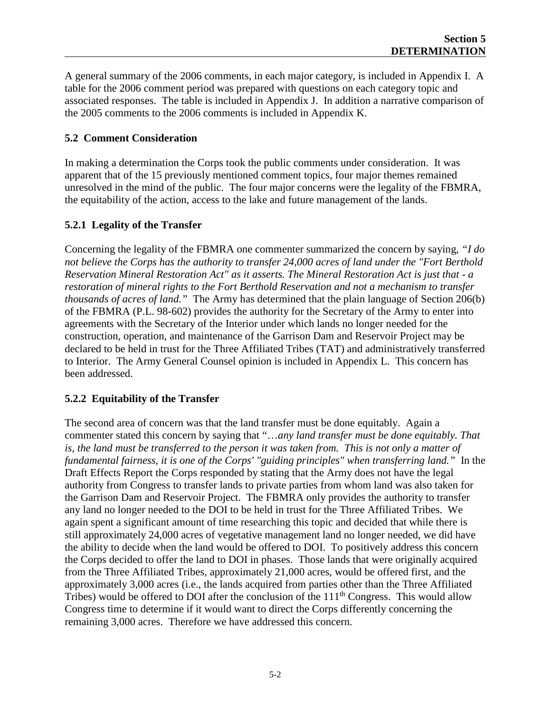A general summary of the 2006 comments, in each major category, is included in Appendix I. A table for the 2006 comment period was prepared with questions on each category topic and associated responses. The table is included in Appendix J. In addition a narrative comparison of the 2005 comments to the 2006 comments is included in Appendix K.

#### **5.2 Comment Consideration**

In making a determination the Corps took the public comments under consideration. It was apparent that of the 15 previously mentioned comment topics, four major themes remained unresolved in the mind of the public. The four major concerns were the legality of the FBMRA, the equitability of the action, access to the lake and future management of the lands.

#### **5.2.1 Legality of the Transfer**

Concerning the legality of the FBMRA one commenter summarized the concern by saying, *"I do not believe the Corps has the authority to transfer 24,000 acres of land under the "Fort Berthold Reservation Mineral Restoration Act" as it asserts. The Mineral Restoration Act is just that - a restoration of mineral rights to the Fort Berthold Reservation and not a mechanism to transfer thousands of acres of land."* The Army has determined that the plain language of Section 206(b) of the FBMRA (P.L. 98-602) provides the authority for the Secretary of the Army to enter into agreements with the Secretary of the Interior under which lands no longer needed for the construction, operation, and maintenance of the Garrison Dam and Reservoir Project may be declared to be held in trust for the Three Affiliated Tribes (TAT) and administratively transferred to Interior. The Army General Counsel opinion is included in Appendix L. This concern has been addressed.

#### **5.2.2 Equitability of the Transfer**

The second area of concern was that the land transfer must be done equitably. Again a commenter stated this concern by saying that "…*any land transfer must be done equitably. That is, the land must be transferred to the person it was taken from. This is not only a matter of fundamental fairness, it is one of the Corps' "guiding principles" when transferring land."* In the Draft Effects Report the Corps responded by stating that the Army does not have the legal authority from Congress to transfer lands to private parties from whom land was also taken for the Garrison Dam and Reservoir Project. The FBMRA only provides the authority to transfer any land no longer needed to the DOI to be held in trust for the Three Affiliated Tribes. We again spent a significant amount of time researching this topic and decided that while there is still approximately 24,000 acres of vegetative management land no longer needed, we did have the ability to decide when the land would be offered to DOI. To positively address this concern the Corps decided to offer the land to DOI in phases. Those lands that were originally acquired from the Three Affiliated Tribes, approximately 21,000 acres, would be offered first, and the approximately 3,000 acres (i.e., the lands acquired from parties other than the Three Affiliated Tribes) would be offered to DOI after the conclusion of the  $111<sup>th</sup>$  Congress. This would allow Congress time to determine if it would want to direct the Corps differently concerning the remaining 3,000 acres. Therefore we have addressed this concern.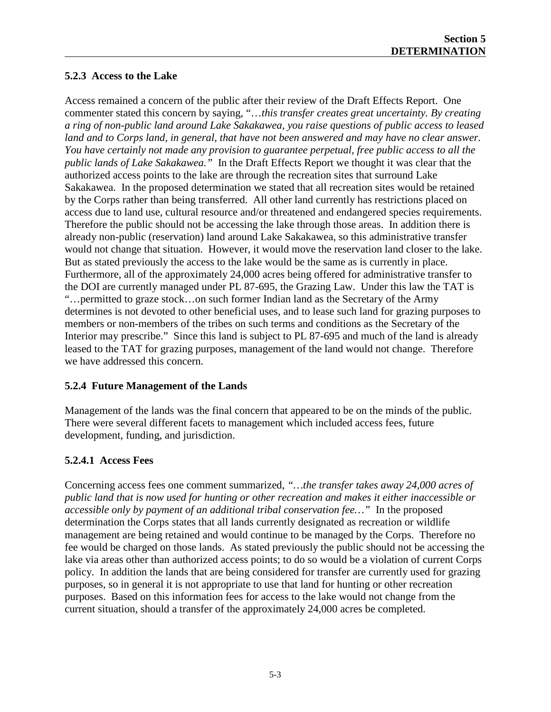## **5.2.3 Access to the Lake**

Access remained a concern of the public after their review of the Draft Effects Report. One commenter stated this concern by saying, "…*this transfer creates great uncertainty. By creating a ring of non-public land around Lake Sakakawea, you raise questions of public access to leased land and to Corps land, in general, that have not been answered and may have no clear answer. You have certainly not made any provision to guarantee perpetual, free public access to all the public lands of Lake Sakakawea."* In the Draft Effects Report we thought it was clear that the authorized access points to the lake are through the recreation sites that surround Lake Sakakawea. In the proposed determination we stated that all recreation sites would be retained by the Corps rather than being transferred. All other land currently has restrictions placed on access due to land use, cultural resource and/or threatened and endangered species requirements. Therefore the public should not be accessing the lake through those areas. In addition there is already non-public (reservation) land around Lake Sakakawea, so this administrative transfer would not change that situation. However, it would move the reservation land closer to the lake. But as stated previously the access to the lake would be the same as is currently in place. Furthermore, all of the approximately 24,000 acres being offered for administrative transfer to the DOI are currently managed under PL 87-695, the Grazing Law. Under this law the TAT is "…permitted to graze stock…on such former Indian land as the Secretary of the Army determines is not devoted to other beneficial uses, and to lease such land for grazing purposes to members or non-members of the tribes on such terms and conditions as the Secretary of the Interior may prescribe." Since this land is subject to PL 87-695 and much of the land is already leased to the TAT for grazing purposes, management of the land would not change. Therefore we have addressed this concern.

### **5.2.4 Future Management of the Lands**

Management of the lands was the final concern that appeared to be on the minds of the public. There were several different facets to management which included access fees, future development, funding, and jurisdiction.

### **5.2.4.1 Access Fees**

Concerning access fees one comment summarized, *"…the transfer takes away 24,000 acres of public land that is now used for hunting or other recreation and makes it either inaccessible or accessible only by payment of an additional tribal conservation fee…"* In the proposed determination the Corps states that all lands currently designated as recreation or wildlife management are being retained and would continue to be managed by the Corps.Therefore no fee would be charged on those lands. As stated previously the public should not be accessing the lake via areas other than authorized access points; to do so would be a violation of current Corps policy. In addition the lands that are being considered for transfer are currently used for grazing purposes, so in general it is not appropriate to use that land for hunting or other recreation purposes. Based on this information fees for access to the lake would not change from the current situation, should a transfer of the approximately 24,000 acres be completed.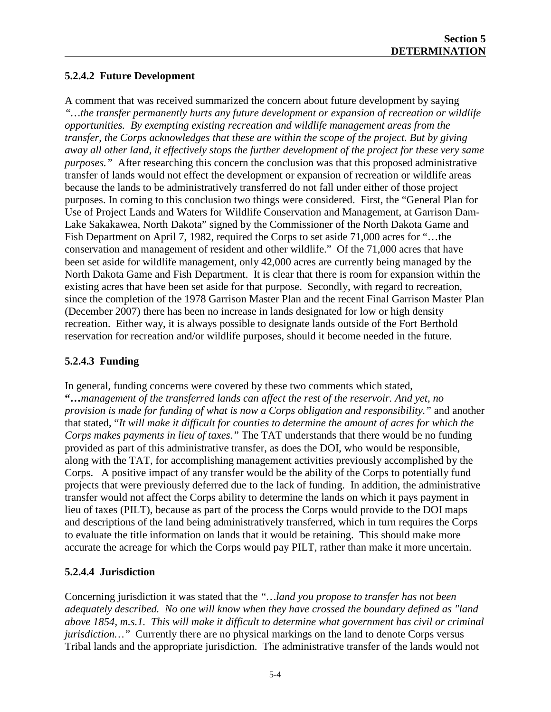## **5.2.4.2 Future Development**

A comment that was received summarized the concern about future development by saying *"…the transfer permanently hurts any future development or expansion of recreation or wildlife opportunities. By exempting existing recreation and wildlife management areas from the transfer, the Corps acknowledges that these are within the scope of the project. But by giving away all other land, it effectively stops the further development of the project for these very same purposes.*" After researching this concern the conclusion was that this proposed administrative transfer of lands would not effect the development or expansion of recreation or wildlife areas because the lands to be administratively transferred do not fall under either of those project purposes. In coming to this conclusion two things were considered. First, the "General Plan for Use of Project Lands and Waters for Wildlife Conservation and Management, at Garrison Dam-Lake Sakakawea, North Dakota" signed by the Commissioner of the North Dakota Game and Fish Department on April 7, 1982, required the Corps to set aside 71,000 acres for "…the conservation and management of resident and other wildlife." Of the 71,000 acres that have been set aside for wildlife management, only 42,000 acres are currently being managed by the North Dakota Game and Fish Department. It is clear that there is room for expansion within the existing acres that have been set aside for that purpose. Secondly, with regard to recreation, since the completion of the 1978 Garrison Master Plan and the recent Final Garrison Master Plan (December 2007) there has been no increase in lands designated for low or high density recreation. Either way, it is always possible to designate lands outside of the Fort Berthold reservation for recreation and/or wildlife purposes, should it become needed in the future.

## **5.2.4.3 Funding**

In general, funding concerns were covered by these two comments which stated, **"…***management of the transferred lands can affect the rest of the reservoir. And yet, no provision is made for funding of what is now a Corps obligation and responsibility."* and another that stated, "*It will make it difficult for counties to determine the amount of acres for which the Corps makes payments in lieu of taxes."* The TAT understands that there would be no funding provided as part of this administrative transfer, as does the DOI, who would be responsible, along with the TAT, for accomplishing management activities previously accomplished by the Corps. A positive impact of any transfer would be the ability of the Corps to potentially fund projects that were previously deferred due to the lack of funding. In addition, the administrative transfer would not affect the Corps ability to determine the lands on which it pays payment in lieu of taxes (PILT), because as part of the process the Corps would provide to the DOI maps and descriptions of the land being administratively transferred, which in turn requires the Corps to evaluate the title information on lands that it would be retaining. This should make more accurate the acreage for which the Corps would pay PILT, rather than make it more uncertain.

### **5.2.4.4 Jurisdiction**

Concerning jurisdiction it was stated that the *"…land you propose to transfer has not been adequately described. No one will know when they have crossed the boundary defined as "land above 1854, m.s.1. This will make it difficult to determine what government has civil or criminal jurisdiction*..." Currently there are no physical markings on the land to denote Corps versus Tribal lands and the appropriate jurisdiction. The administrative transfer of the lands would not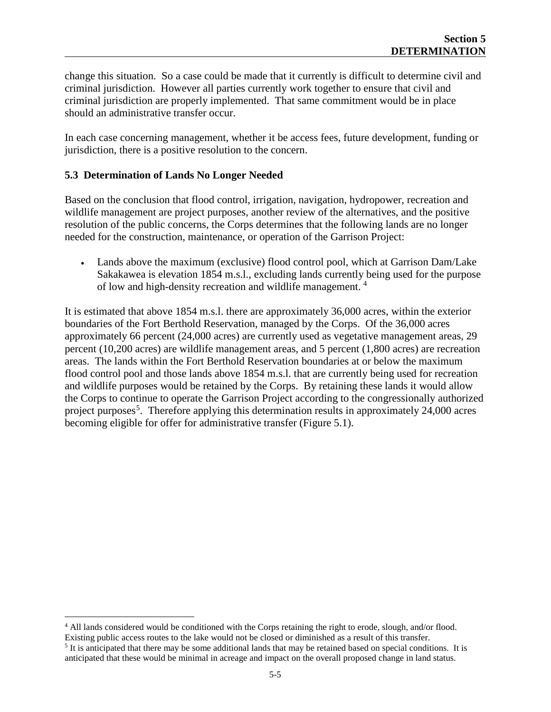change this situation. So a case could be made that it currently is difficult to determine civil and criminal jurisdiction. However all parties currently work together to ensure that civil and criminal jurisdiction are properly implemented. That same commitment would be in place should an administrative transfer occur.

In each case concerning management, whether it be access fees, future development, funding or jurisdiction, there is a positive resolution to the concern.

#### **5.3 Determination of Lands No Longer Needed**

Based on the conclusion that flood control, irrigation, navigation, hydropower, recreation and wildlife management are project purposes, another review of the alternatives, and the positive resolution of the public concerns, the Corps determines that the following lands are no longer needed for the construction, maintenance, or operation of the Garrison Project:

• Lands above the maximum (exclusive) flood control pool, which at Garrison Dam/Lake Sakakawea is elevation 1854 m.s.l., excluding lands currently being used for the purpose of low and high-density recreation and wildlife management. [4](#page-21-0)

It is estimated that above 1854 m.s.l. there are approximately 36,000 acres, within the exterior boundaries of the Fort Berthold Reservation, managed by the Corps. Of the 36,000 acres approximately 66 percent (24,000 acres) are currently used as vegetative management areas, 29 percent (10,200 acres) are wildlife management areas, and 5 percent (1,800 acres) are recreation areas. The lands within the Fort Berthold Reservation boundaries at or below the maximum flood control pool and those lands above 1854 m.s.l. that are currently being used for recreation and wildlife purposes would be retained by the Corps. By retaining these lands it would allow the Corps to continue to operate the Garrison Project according to the congressionally authorized project purposes<sup>[5](#page-21-1)</sup>. Therefore applying this determination results in approximately 24,000 acres becoming eligible for offer for administrative transfer (Figure 5.1).

<span id="page-21-0"></span> <sup>4</sup> All lands considered would be conditioned with the Corps retaining the right to erode, slough, and/or flood. Existing public access routes to the lake would not be closed or diminished as a result of this transfer.

<span id="page-21-1"></span> $<sup>5</sup>$  It is anticipated that there may be some additional lands that may be retained based on special conditions. It is</sup> anticipated that these would be minimal in acreage and impact on the overall proposed change in land status.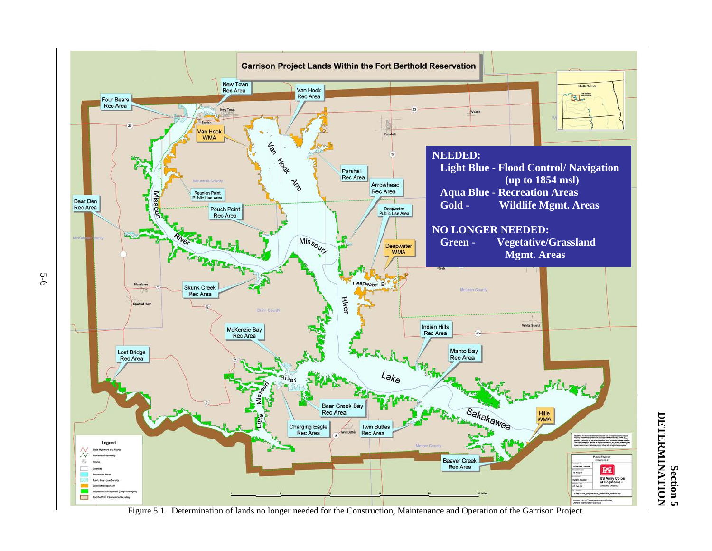

Figure 5.1. Determination of lands no longer needed for the Construction, Maintenance and Operation of the Garrison Project.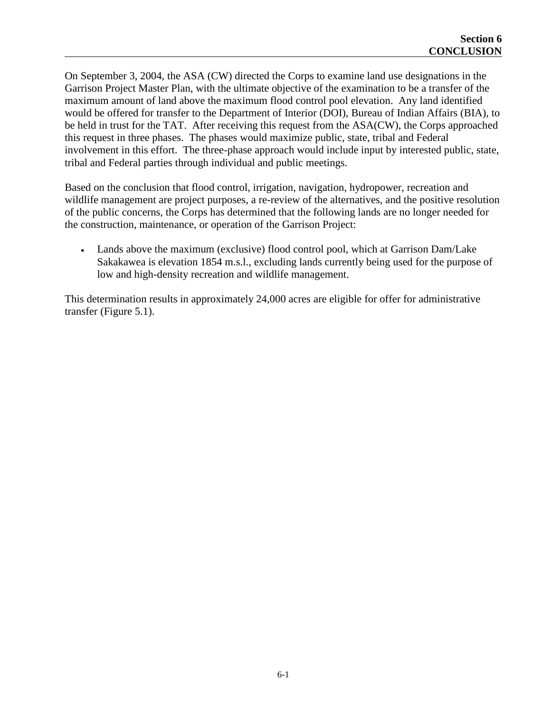On September 3, 2004, the ASA (CW) directed the Corps to examine land use designations in the Garrison Project Master Plan, with the ultimate objective of the examination to be a transfer of the maximum amount of land above the maximum flood control pool elevation. Any land identified would be offered for transfer to the Department of Interior (DOI), Bureau of Indian Affairs (BIA), to be held in trust for the TAT. After receiving this request from the ASA(CW), the Corps approached this request in three phases. The phases would maximize public, state, tribal and Federal involvement in this effort. The three-phase approach would include input by interested public, state, tribal and Federal parties through individual and public meetings.

Based on the conclusion that flood control, irrigation, navigation, hydropower, recreation and wildlife management are project purposes, a re-review of the alternatives, and the positive resolution of the public concerns, the Corps has determined that the following lands are no longer needed for the construction, maintenance, or operation of the Garrison Project:

• Lands above the maximum (exclusive) flood control pool, which at Garrison Dam/Lake Sakakawea is elevation 1854 m.s.l., excluding lands currently being used for the purpose of low and high-density recreation and wildlife management.

This determination results in approximately 24,000 acres are eligible for offer for administrative transfer (Figure 5.1).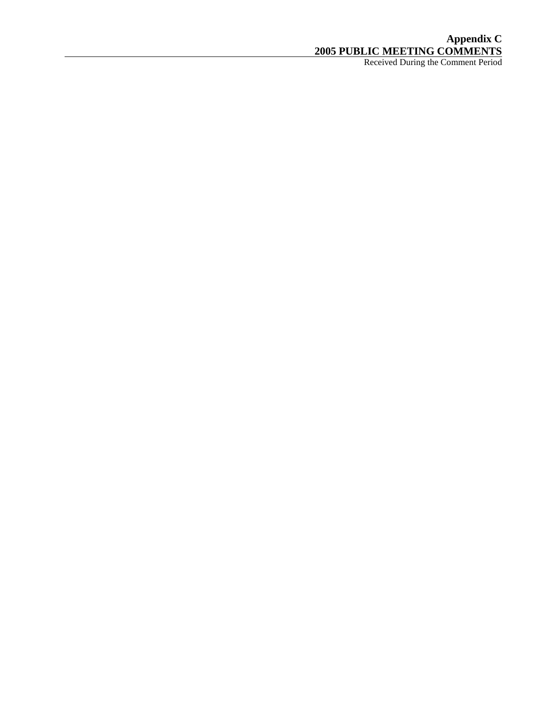## **Appendix C 2005 PUBLIC MEETING COMMENTS**

Received During the Comment Period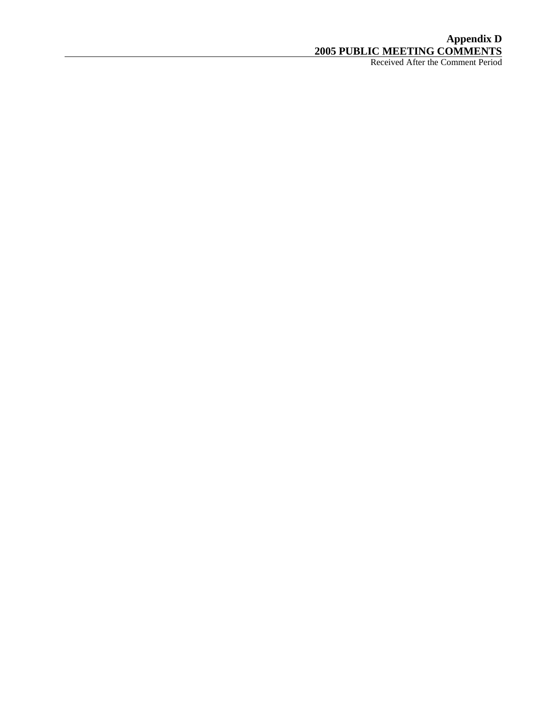## **Appendix D 2005 PUBLIC MEETING COMMENTS**

Received After the Comment Period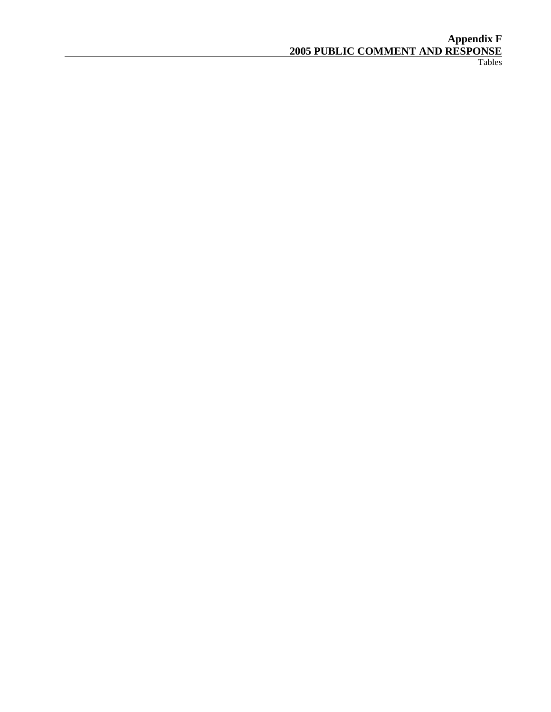#### **Appendix F 2005 PUBLIC COMMENT AND RESPONSE**

Tables